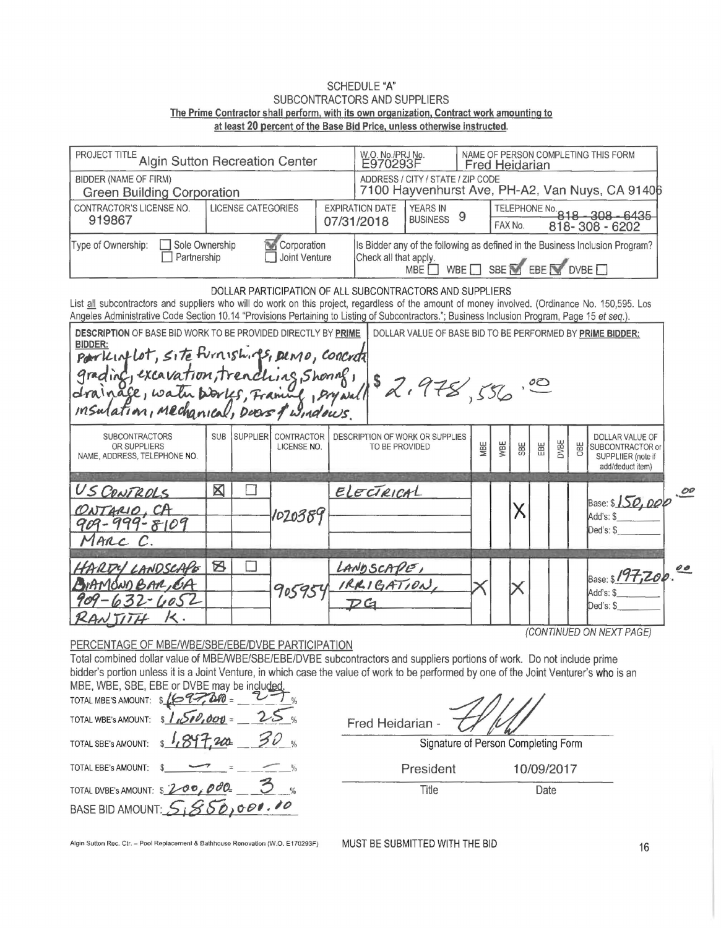## **SCHEDULE "A"** SUBCONTRACTORS AND SUPPLIERS The Prime Contractor shall perform, with its own organization, Contract work amounting to at least 20 percent of the Base Bid Price, unless otherwise instructed.

| I PROJECT TITLE Algin Sutton Recreation Center             |                                                               |                           |  |  | W.O. No./PRJ No.<br>E970293F         |                                                                                      | NAME OF PERSON COMPLETING THIS FORM<br><b>Fred Heidarian</b> |                                                                                                                                         |  |  |  |
|------------------------------------------------------------|---------------------------------------------------------------|---------------------------|--|--|--------------------------------------|--------------------------------------------------------------------------------------|--------------------------------------------------------------|-----------------------------------------------------------------------------------------------------------------------------------------|--|--|--|
| BIDDER (NAME OF FIRM)<br><b>Green Building Corporation</b> |                                                               |                           |  |  |                                      | ADDRESS / CITY / STATE / ZIP CODE<br>7100 Hayvenhurst Ave, PH-A2, Van Nuys, CA 91406 |                                                              |                                                                                                                                         |  |  |  |
| CONTRACTOR'S LICENSE NO.<br>919867                         |                                                               | <b>LICENSE CATEGORIES</b> |  |  | <b>EXPIRATION DATE</b><br>07/31/2018 | <b>YEARS IN</b><br><b>BUSINESS</b>                                                   |                                                              | TELEPHONE No. 818 - 308 - 6435<br>818-308-6202<br>FAX No.                                                                               |  |  |  |
| Type of Ownership:                                         | Sole Ownership<br>Corporation<br>Partnership<br>Joint Venture |                           |  |  | Check all that apply.                |                                                                                      |                                                              | Is Bidder any of the following as defined in the Business Inclusion Program?<br>MBE $\Box$ WBE $\Box$ SBE $\Box$ EBE $\Box$ DVBE $\Box$ |  |  |  |

| Angeles Administrative Code Section 10.14 "Provisions Pertaining to Listing of Subcontractors."; Business Inclusion Program, Page 15 et seq.). | DOLLAR PARTICIPATION OF ALL SUBCONTRACTORS AND SUPPLIERS<br>List all subcontractors and suppliers who will do work on this project, regardless of the amount of money involved. (Ordinance No. 150,595. Los |
|------------------------------------------------------------------------------------------------------------------------------------------------|-------------------------------------------------------------------------------------------------------------------------------------------------------------------------------------------------------------|
| <b>DESCRIPTION OF BASE BID WORK TO BE PROVIDED DIRECTLY BY PRIME</b><br>BIDDER:                                                                | DOLLAR VALUE OF BASE BID TO BE PERFORMED BY PRIME BIDDER:                                                                                                                                                   |
|                                                                                                                                                |                                                                                                                                                                                                             |

| insulation, mechanical, Deas & windows                                |             |                 |                           |                                                   |     | $\sqrt{2}$ |                                                                                                                                                                                                                                                                                                                     |      |            |                                                                               |  |
|-----------------------------------------------------------------------|-------------|-----------------|---------------------------|---------------------------------------------------|-----|------------|---------------------------------------------------------------------------------------------------------------------------------------------------------------------------------------------------------------------------------------------------------------------------------------------------------------------|------|------------|-------------------------------------------------------------------------------|--|
| <b>SUBCONTRACTORS</b><br>OR SUPPLIERS<br>NAME, ADDRESS, TELEPHONE NO. | <b>SUB</b>  | <b>SUPPLIER</b> | CONTRACTOR<br>LICENSE NO. | DESCRIPTION OF WORK OR SUPPLIES<br>TO BE PROVIDED | MBE | VBE        | $\frac{1}{2}$ $\frac{1}{2}$ $\frac{1}{2}$ $\frac{1}{2}$ $\frac{1}{2}$ $\frac{1}{2}$ $\frac{1}{2}$ $\frac{1}{2}$ $\frac{1}{2}$ $\frac{1}{2}$ $\frac{1}{2}$ $\frac{1}{2}$ $\frac{1}{2}$ $\frac{1}{2}$ $\frac{1}{2}$ $\frac{1}{2}$ $\frac{1}{2}$ $\frac{1}{2}$ $\frac{1}{2}$ $\frac{1}{2}$ $\frac{1}{2}$ $\frac{1}{2}$ | DVBE | <b>DBE</b> | DOLLAR VALUE OF<br>SUBCONTRACTOR or<br>SUPPLIIER (note if<br>add/deduct item) |  |
| US CONTROLS                                                           | $\boxtimes$ |                 |                           | ELECTRICAL                                        |     |            |                                                                                                                                                                                                                                                                                                                     |      |            |                                                                               |  |
| ONTARIO, CA<br>$909 - 999 - 8109$                                     |             |                 | 1020389                   |                                                   |     |            |                                                                                                                                                                                                                                                                                                                     |      |            | $Base: $150,000 \frac{000}{0000}$<br>Add's: \$                                |  |
| MARC C.                                                               |             |                 |                           |                                                   |     |            |                                                                                                                                                                                                                                                                                                                     |      |            | Ded's: \$                                                                     |  |
|                                                                       |             |                 |                           |                                                   |     |            |                                                                                                                                                                                                                                                                                                                     |      |            |                                                                               |  |
| HARDY LANDSCAPE                                                       | Ø           |                 |                           | LANDSCAPE,                                        |     |            |                                                                                                                                                                                                                                                                                                                     |      |            |                                                                               |  |
| BIAMÓNO BAR, OA                                                       |             |                 |                           | 905954 IRRIGATION,                                |     |            |                                                                                                                                                                                                                                                                                                                     |      |            | Base: \$197,200.00                                                            |  |
| $909 - 632 - 4052$                                                    |             |                 |                           | $\overline{D}G$                                   |     |            |                                                                                                                                                                                                                                                                                                                     |      |            | $Add's: $$<br>Ded's: \$                                                       |  |
| RALITITL<br>1<                                                        |             |                 |                           |                                                   |     |            |                                                                                                                                                                                                                                                                                                                     |      |            |                                                                               |  |

PERCENTAGE OF MBE/WBE/SBE/EBE/DVBE PARTICIPATION

Total combined dollar value of MBE/WBE/SBE/EBE/DVBE subcontractors and suppliers portions of work. Do not include prime bidder's portion unless it is a Joint Venture, in which case the value of work to be performed by one of the Joint Venturer's who is an MBE, WBE, SBE, EBE or DVBE may be included

TOTAL MBE'S AMOUNT: \$ (697780 =  $25x$ TOTAL WBE's AMOUNT: \$  $10.001$  $30$  .  $+200$ TOTAL SBE's AMOUNT: \$ TOTAL EBE's AMOUNT: \$ TOTAL DVBE'S AMOUNT: \$ 200, 000 BASE BID AMOUNT:  $5550,000.10$ 

Fred Heidarian -Signature of Person Completing Form

President 10/09/2017

Title

Date

(CONTINUED ON NEXT PAGE)

Algin Sutton Rec. Ctr. - Pool Replacement & Bathhouse Renovation (W.O. E170293F)

MUST BE SUBMITTED WITH THE BID